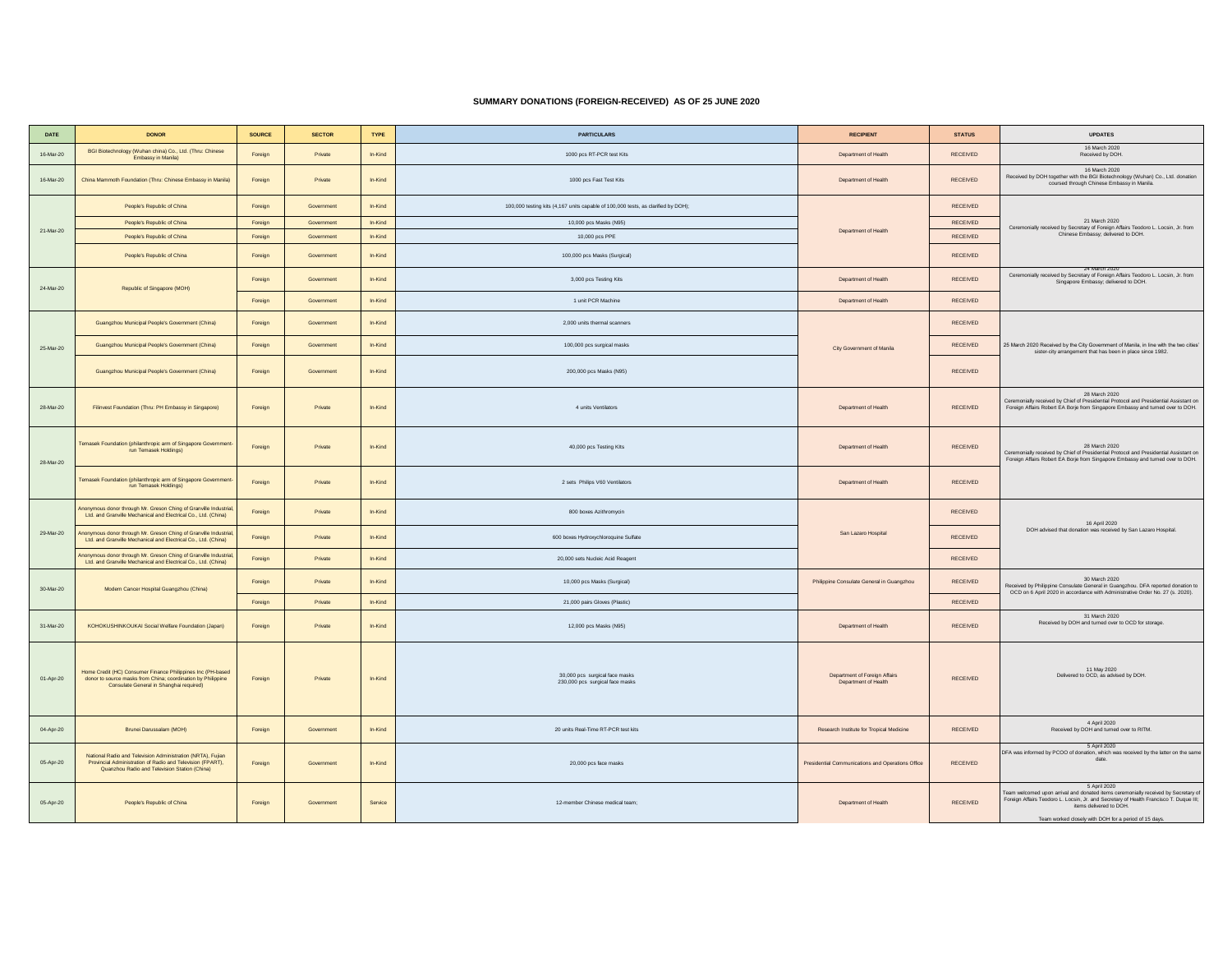## **SUMMARY DONATIONS (FOREIGN-RECEIVED) AS OF 25 JUNE 2020**

| DATE      | <b>DONOR</b>                                                                                                                                                               | <b>SOURCE</b> | <b>SECTOR</b> | <b>TYPE</b> | <b>PARTICULARS</b>                                                                | <b>RECIPIENT</b>                                      | <b>STATUS</b>   | <b>UPDATES</b>                                                                                                                                                                                                                                                                  |
|-----------|----------------------------------------------------------------------------------------------------------------------------------------------------------------------------|---------------|---------------|-------------|-----------------------------------------------------------------------------------|-------------------------------------------------------|-----------------|---------------------------------------------------------------------------------------------------------------------------------------------------------------------------------------------------------------------------------------------------------------------------------|
| 16-Mar-20 | BGI Biotechnology (Wuhan china) Co., Ltd. (Thru: Chinese<br>Embassy in Manila)                                                                                             | Foreign       | Private       | In-Kind     | 1000 pcs RT-PCR test Kits                                                         | Department of Health                                  | RECEIVED        | 16 March 2020<br>Received by DOH.                                                                                                                                                                                                                                               |
| 16-Mar-20 | China Mammoth Foundation (Thru: Chinese Embassy in Manila)                                                                                                                 | Foreign       | Private       | In-Kind     | 1000 pcs Fast Test Kits                                                           | Department of Health                                  | RECEIVED        | 16 March 2020<br>Received by DOH together with the BGI Biotechnology (Wuhan) Co., Ltd. donation<br>coursed through Chinese Embassy in Manila.                                                                                                                                   |
|           | People's Republic of China                                                                                                                                                 | Foreign       | Government    | In-Kind     | 100,000 testing kits (4,167 units capable of 100,000 tests, as clarified by DOH); |                                                       | RECEIVED        |                                                                                                                                                                                                                                                                                 |
|           | People's Republic of China                                                                                                                                                 | Foreign       | Government    | In-Kind     | 10,000 pcs Masks (N95)                                                            |                                                       | RECEIVED        | 21 March 2020<br>Ceremonially received by Secretary of Foreign Affairs Teodoro L. Locsin, Jr. from                                                                                                                                                                              |
| 21-Mar-20 | People's Republic of China                                                                                                                                                 | Foreign       | Government    | In-Kind     | 10,000 pcs PPE                                                                    | Department of Health                                  | RECEIVED        | Chinese Embassy; delivered to DOH.                                                                                                                                                                                                                                              |
|           | People's Republic of China                                                                                                                                                 | Foreign       | Government    | In-Kind     | 100,000 pcs Masks (Surgical)                                                      |                                                       | RECEIVED        |                                                                                                                                                                                                                                                                                 |
| 24-Mar-20 | Republic of Singapore (MOH)                                                                                                                                                | Foreign       | Government    | In-Kind     | 3,000 pcs Testing Kits                                                            | Department of Health                                  | RECEIVED        | 24 March 2020<br>Ceremonially received by Secretary of Foreign Affairs Teodoro L. Locsin, Jr. from<br>Singapore Embassy: delivered to DOH.                                                                                                                                      |
|           |                                                                                                                                                                            | Foreign       | Government    | In-Kind     | 1 unit PCR Machine                                                                | Department of Health                                  | <b>RECEIVED</b> |                                                                                                                                                                                                                                                                                 |
|           | Guangzhou Municipal People's Government (China)                                                                                                                            | Foreign       | Government    | In-Kind     | 2,000 units thermal scanners                                                      |                                                       | RECEIVED        |                                                                                                                                                                                                                                                                                 |
| 25-Mar-20 | Guanozhou Municipal People's Government (China)                                                                                                                            | Foreign       | Government    | In-Kind     | 100,000 pcs surgical masks                                                        | City Government of Manila                             | <b>RECEIVED</b> | 25 March 2020 Received by the City Government of Manila, in line with the two cities'<br>sister-city arrangement that has been in place since 1982.                                                                                                                             |
|           | Guangzhou Municipal People's Government (China)                                                                                                                            | Foreign       | Government    | In-Kind     | 200,000 pcs Masks (N95)                                                           |                                                       | RECEIVED        |                                                                                                                                                                                                                                                                                 |
| 28-Mar-20 | Filinvest Foundation (Thru: PH Embassy in Singapore)                                                                                                                       | Foreign       | Private       | In-Kind     | 4 units Ventilators                                                               | Department of Health                                  | RECEIVED        | 28 March 2020<br>Ceremonially received by Chief of Presidential Protocol and Presidential Assistant on<br>Foreign Affairs Robert EA Borje from Singapore Embassy and turned over to DOH.                                                                                        |
| 28-Mar-20 | Temasek Foundation (philanthropic arm of Singapore Government<br>run Temasek Holdings)                                                                                     | Foreign       | Private       | In-Kind     | 40,000 pcs Testing Kits                                                           | Department of Health                                  | RECEIVED        | 28 March 2020<br>Ceremonially received by Chief of Presidential Protocol and Presidential Assistant on<br>Foreign Affairs Robert EA Borje from Singapore Embassy and turned over to DOH.                                                                                        |
|           | Temasek Foundation (philanthropic arm of Singapore Government<br>run Temasek Holdings)                                                                                     | Foreign       | Private       | In-Kind     | 2 sets Philips V60 Ventilators                                                    | Department of Health                                  | RECEIVED        |                                                                                                                                                                                                                                                                                 |
|           | Anonymous donor through Mr. Greson Ching of Granville Industrial<br>Ltd. and Granville Mechanical and Electrical Co., Ltd. (China)                                         | Foreign       | Private       | In-Kind     | 800 boxes Azithromycin                                                            | San Lazaro Hospital                                   | <b>RECEIVED</b> | 16 April 2020                                                                                                                                                                                                                                                                   |
| 29-Mar-20 | Anonymous donor through Mr. Greson Ching of Granville Industria<br>Ltd. and Granville Mechanical and Electrical Co., Ltd. (China)                                          | Foreign       | Private       | In-Kind     | 600 boxes Hydroxychloroquine Sulfate                                              |                                                       | RECEIVED        | DOH advised that donation was received by San Lazaro Hospital.                                                                                                                                                                                                                  |
|           | Anonymous donor through Mr. Greson Ching of Granville Industrial<br>Ltd. and Granville Mechanical and Electrical Co., Ltd. (China)                                         | Foreign       | Private       | In-Kind     | 20,000 sets Nucleic Acid Reagent                                                  |                                                       | <b>RECEIVED</b> |                                                                                                                                                                                                                                                                                 |
| 30-Mar-20 | Modern Cancer Hospital Guangzhou (China)                                                                                                                                   | Foreign       | Private       | In-Kind     | 10,000 pcs Masks (Surgical)                                                       | Philippine Consulate General in Guanozhou             | RECEIVED        | 30 March 2020<br>Received by Philippine Consulate General in Guangzhou. DFA reported donation to<br>OCD on 6 April 2020 in accordance with Administrative Order No. 27 (s. 2020).                                                                                               |
|           |                                                                                                                                                                            | Foreign       | Private       | In-Kind     | 21,000 pairs Gloves (Plastic)                                                     |                                                       | RECEIVED        |                                                                                                                                                                                                                                                                                 |
| 31-Mar-20 | KOHOKUSHINKOUKAI Social Welfare Foundation (Japan)                                                                                                                         | Foreign       | Private       | In-Kind     | 12,000 pcs Masks (N95)                                                            | Department of Health                                  | RECEIVED        | 31 March 2020<br>Received by DOH and turned over to OCD for storage.                                                                                                                                                                                                            |
| 01-Apr-20 | Home Credit (HC) Consumer Finance Philippines Inc (PH-based<br>donor to source masks from China; coordination by Philippine<br>Consulate General in Shanghai required)     | Foreign       | Private       | In-Kind     | 30,000 pcs surgical face masks<br>230,000 pcs surgical face masks                 | Department of Foreign Affairs<br>Department of Health | RECEIVED        | 11 May 2020<br>Delivered to OCD, as advised by DOH.                                                                                                                                                                                                                             |
| 04-Apr-20 | Brunei Darussalam (MOH)                                                                                                                                                    | Foreign       | Government    | In-Kind     | 20 units Real-Time RT-PCR test kits                                               | Research Institute for Tropical Medicine              | RECEIVED        | 4 April 2020<br>Received by DOH and turned over to RITM.                                                                                                                                                                                                                        |
| 05-Apr-20 | National Radio and Television Administration (NRTA), Fujian<br>Provincial Administration of Radio and Television (FPART),<br>Quanzhou Radio and Television Station (China) | Foreign       | Government    | In-Kind     | 20,000 pcs face masks                                                             | Presidential Communications and Operations Office     | RECEIVED        | 5 April 2020<br>DFA was informed by PCOO of donation, which was received by the latter on the same<br>date.                                                                                                                                                                     |
| 05-Apr-20 | People's Republic of China                                                                                                                                                 | Foreign       | Government    | Service     | 12-member Chinese medical team;                                                   | Department of Health                                  | RECEIVED        | 5 April 2020<br>Team welcomed upon arrival and donated items ceremonially received by Secretary of<br>Foreign Affairs Teodoro L. Locsin, Jr. and Secretary of Health Francisco T. Duque III;<br>items delivered to DOH<br>Team worked closely with DOH for a period of 15 days. |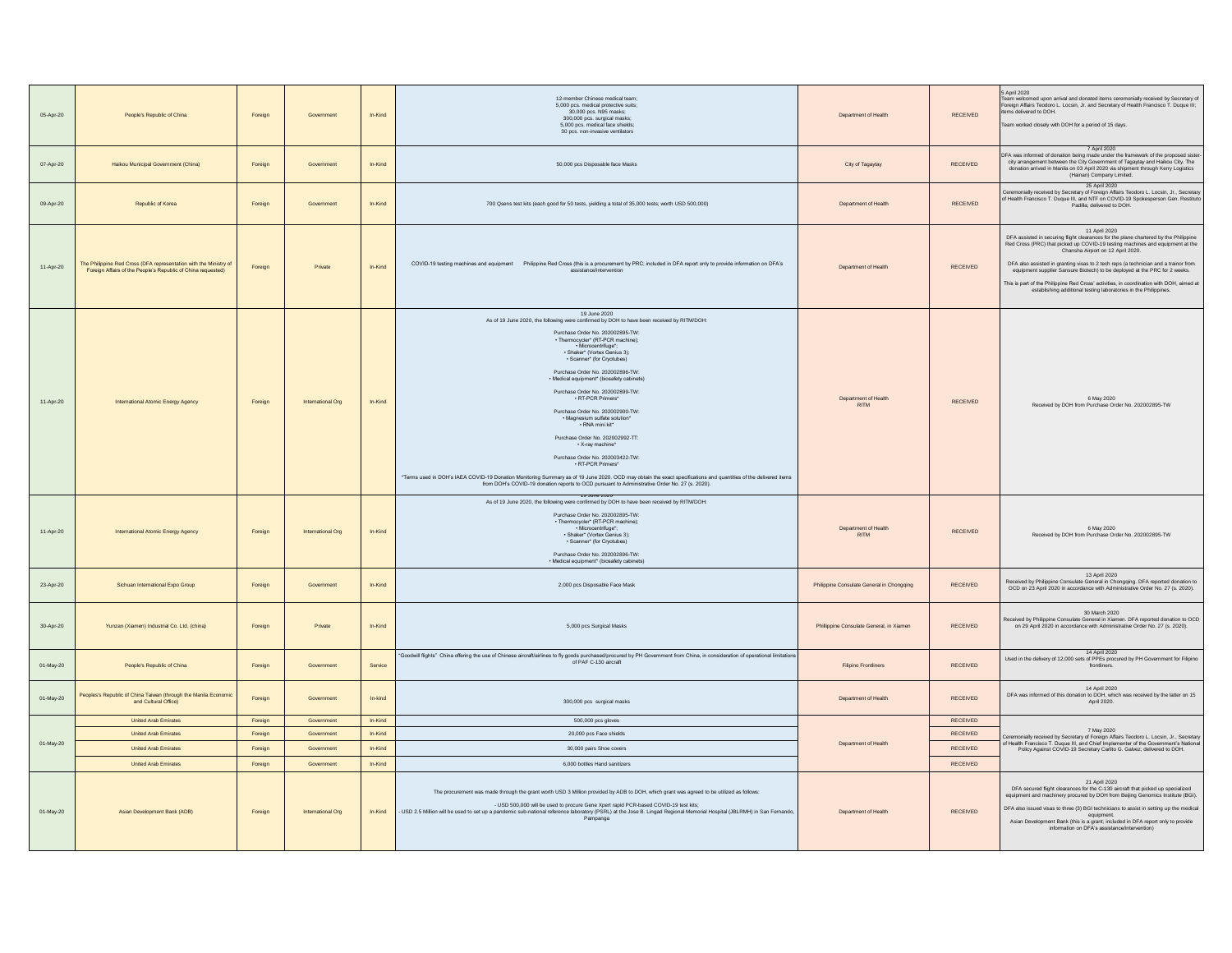| 05-Apr-20     | People's Republic of China                                                                                                        | Foreign | Government        | In-Kind | 12-member Chinese medical team;<br>5,000 pcs. medical protective suits;<br>30,000 pcs. N95 masks:<br>300,000 pcs. surgical masks;<br>5,000 pcs, medical face shields:<br>30 pcs. non-invasive ventilators                                                                                                                                                                                                                                                                                                                                                                                                                                                                                                                                                                                                                                                                                         | Department of Health                                                                      | RECEIVED        | 5 April 2020<br>Team welcomed upon arrival and donated items ceremonially received by Secretary of<br>Foreign Affairs Teodoro L. Locsin, Jr. and Secretary of Health Francisco T. Duque III;<br>items delivered to DOH.<br>Team worked closely with DOH for a period of 15 days.                                                                                                                                                                                                                                                                                 |
|---------------|-----------------------------------------------------------------------------------------------------------------------------------|---------|-------------------|---------|---------------------------------------------------------------------------------------------------------------------------------------------------------------------------------------------------------------------------------------------------------------------------------------------------------------------------------------------------------------------------------------------------------------------------------------------------------------------------------------------------------------------------------------------------------------------------------------------------------------------------------------------------------------------------------------------------------------------------------------------------------------------------------------------------------------------------------------------------------------------------------------------------|-------------------------------------------------------------------------------------------|-----------------|------------------------------------------------------------------------------------------------------------------------------------------------------------------------------------------------------------------------------------------------------------------------------------------------------------------------------------------------------------------------------------------------------------------------------------------------------------------------------------------------------------------------------------------------------------------|
| 07-Apr-20     | Halkou Municipal Government (China)                                                                                               | Foreign | Government        | In-Kind | 50,000 pcs Disposable face Masks                                                                                                                                                                                                                                                                                                                                                                                                                                                                                                                                                                                                                                                                                                                                                                                                                                                                  | City of Tagaytay                                                                          | RECEIVED        | 7 April 2020<br>DFA was informed of donation being made under the framework of the proposed sister-<br>city arrangement between the City Government of Tagaytay and Haikou City. The<br>donation arrived in Manila on 03 April 2020 via shipment thr<br>(Hainan) Company Limited.                                                                                                                                                                                                                                                                                |
| 09-Apr-20     | Republic of Korea                                                                                                                 | Foreign | Government        | In-Kind | 700 Qsens test kits (each good for 50 tests, yielding a total of 35,000 tests; worth USD 500,000)                                                                                                                                                                                                                                                                                                                                                                                                                                                                                                                                                                                                                                                                                                                                                                                                 | Department of Health                                                                      | <b>RECEIVED</b> | 25 April 2020<br>Ceremonially received by Secretary of Foreign Affairs Teodoro L. Locsin, Jr., Secretary<br>of Health Francisco T. Duque III, and NTF on COVID-19 Spokesperson Gen. Restituto<br>Padilla; delivered to DOH.                                                                                                                                                                                                                                                                                                                                      |
| 11-Apr-20     | The Philippine Red Cross (DFA representation with the Ministry of<br>Foreign Affairs of the People's Republic of China requested) | Foreign | Private           | In-Kind | COVID-19 testing machines and equipment Philippine Red Cross (this is a procurement by PRC; included in DFA report only to provide information on DFA's<br>assistance/intervention                                                                                                                                                                                                                                                                                                                                                                                                                                                                                                                                                                                                                                                                                                                | Department of Health                                                                      | <b>RECEIVED</b> | 11 April 2020<br>DFA assisted in securing flight clearances for the plane chartered by the Philippine<br>Red Cross (PRC) that picked up COVID-19 testing machines and equipment at the<br>Chansha Airport on 12 April 2020.<br>DFA also assisted in granting visas to 2 tech reps (a technician and a trainor from<br>equipment supplier Sansure Biotech) to be deployed at the PRC for 2 weeks.<br>This is part of the Philippine Red Cross' activities, in coordination with DOH, aimed at<br>establishing additional testing laboratories in the Philippines. |
| 11-Apr-20     | International Atomic Energy Agency                                                                                                | Foreign | International Org | In-Kind | 19 June 2020<br>As of 19 June 2020, the following were confirmed by DOH to have been received by RITM/DOH:<br>Purchase Order No. 202002895-TW:<br>· Thermocycler* (RT-PCR machine);<br>• Microcentrifuge*;<br>· Shaker* (Vortex Genius 3);<br>· Scanner* (for Cryotubes)<br>Purchase Order No. 202002896-TW:<br>· Medical equipment* (biosafety cabinets)<br>Purchase Order No. 202002899-TW:<br>· RT-PCR Primers*<br>Purchase Order No. 202002900-TW:<br>. Magnesium sulfate solution*<br>· RNA mini kit*<br>Purchase Order No. 202002992-TT:<br>· X-rav machine*<br>Purchase Order No. 202003422-TW:<br>· RT-PCR Primers*<br>"Terms used in DOH's IAEA COVID-19 Donation Monitoring Summary as of 19 June 2020. OCD may obtain the exact specifications and quantities of the delivered items<br>from DOH's COVID-19 donation reports to OCD pursuant to Administrative Order No. 27 (s. 2020). | Department of Health<br><b>RITM</b>                                                       | RECEIVED        | 6 May 2020<br>Received by DOH from Purchase Order No. 202002895-TW                                                                                                                                                                                                                                                                                                                                                                                                                                                                                               |
| 11-Apr-20     | International Atomic Energy Agency                                                                                                | Foreign | International Org | In-Kind | 19 June 2020<br>As of 19 June 2020, the following were confirmed by DOH to have been received by RITM/DOH:<br>Purchase Order No. 202002895-TW:<br>· Thermocycler* (RT-PCR machine);<br>· Microcentrifuge*;<br>· Shaker* (Vortex Genius 3);<br>· Scanner* (for Cryotubes)<br>Purchase Order No. 202002896-TW:<br>· Medical equipment* (biosafety cabinets)                                                                                                                                                                                                                                                                                                                                                                                                                                                                                                                                         | Department of Health<br><b>RITM</b>                                                       | <b>RECEIVED</b> | 6 May 2020<br>Received by DOH from Purchase Order No. 202002895-TW                                                                                                                                                                                                                                                                                                                                                                                                                                                                                               |
| 23-Apr-20     | Sichuan International Expo Group                                                                                                  | Foreign | Government        | In-Kind | 2.000 pcs Disposable Face Mask                                                                                                                                                                                                                                                                                                                                                                                                                                                                                                                                                                                                                                                                                                                                                                                                                                                                    | Philippine Consulate General in Chongqing                                                 | <b>RECEIVED</b> | 13 April 2020<br>Received by Philippine Consulate General in Chongqing. DFA reported donation to<br>OCD on 23 April 2020 in accordance with Administrative Order No. 27 (s. 2020).                                                                                                                                                                                                                                                                                                                                                                               |
| 30-Apr-20     | Yunzan (Xiamen) Industrial Co. Ltd. (china)                                                                                       | Foreign | Private           | In-Kind | 5,000 pcs Surgical Masks                                                                                                                                                                                                                                                                                                                                                                                                                                                                                                                                                                                                                                                                                                                                                                                                                                                                          | Phillippine Consulate General, in Xiamen                                                  | <b>RECEIVED</b> | 30 March 2020<br>Received by Philippine Consulate General in Xiamen. DFA reported donation to OCD<br>on 29 April 2020 in accordance with Administrative Order No. 27 (s. 2020).                                                                                                                                                                                                                                                                                                                                                                                  |
| 01-May-20     | People's Republic of China                                                                                                        | Foreign | Government        | Service | 'Goodwill flights" China offering the use of Chinese aircraft/airlines to fly goods purchased/procured by PH Government from China, in consideration of operational limitations<br>of PAF C-130 aircraft                                                                                                                                                                                                                                                                                                                                                                                                                                                                                                                                                                                                                                                                                          | Filipino Frontliners                                                                      | RECEIVED        | 14 April 2020<br>Used in the delivery of 12,000 sets of PPEs procured by PH Government for Filipino<br>frontliners.                                                                                                                                                                                                                                                                                                                                                                                                                                              |
| 01-May-20     | Peoples's Republic of China Taiwan (through the Manila Econom<br>and Cultural Office)                                             | Foreign | Government        | In-kind | 300,000 pcs surgical masks                                                                                                                                                                                                                                                                                                                                                                                                                                                                                                                                                                                                                                                                                                                                                                                                                                                                        | Department of Health                                                                      | RECEIVED        | 14 April 2020<br>DFA was informed of this donation to DOH, which was received by the latter on 15<br>April 2020.                                                                                                                                                                                                                                                                                                                                                                                                                                                 |
|               | United Arab Emirates                                                                                                              | Foreign | Government        | In-Kind | 500,000 pcs gloves                                                                                                                                                                                                                                                                                                                                                                                                                                                                                                                                                                                                                                                                                                                                                                                                                                                                                | <b>RECEIVED</b><br>RECEIVED<br>Department of Health<br><b>RECEIVED</b><br><b>RECEIVED</b> |                 |                                                                                                                                                                                                                                                                                                                                                                                                                                                                                                                                                                  |
| $01 - Max-20$ | United Arab Emirates                                                                                                              | Foreign | Government        | In-Kind | 20,000 pcs Face shields                                                                                                                                                                                                                                                                                                                                                                                                                                                                                                                                                                                                                                                                                                                                                                                                                                                                           |                                                                                           |                 | 7 May 2020<br>Ceremonially received by Secretary of Foreign Affairs Teodoro L. Locsin, Jr., Secretary                                                                                                                                                                                                                                                                                                                                                                                                                                                            |
|               | <b>United Arab Emirates</b>                                                                                                       | Foreign | Government        | In-Kind | 30,000 pairs Shoe covers                                                                                                                                                                                                                                                                                                                                                                                                                                                                                                                                                                                                                                                                                                                                                                                                                                                                          |                                                                                           |                 | of Health Francisco T. Duque III, and Chief Implementer of the Government's National<br>Policy Against COVID-19 Secretary Carilto G. Galvez; delivered to DOH.                                                                                                                                                                                                                                                                                                                                                                                                   |
|               | <b>United Arab Emirates</b>                                                                                                       | Foreign | Government        | In-Kind | 6,000 bottles Hand sanitizers                                                                                                                                                                                                                                                                                                                                                                                                                                                                                                                                                                                                                                                                                                                                                                                                                                                                     |                                                                                           |                 |                                                                                                                                                                                                                                                                                                                                                                                                                                                                                                                                                                  |
| 01-May-20     | Asian Development Bank (ADB)                                                                                                      | Foreign | International Org | In-Kind | The procurement was made through the grant worth USD 3 Million provided by ADB to DOH, which grant was agreed to be utilized as follows:<br>- USD 500,000 will be used to procure Gene Xpert rapid PCR-based COVID-19 test kits;<br>USD 2.5 Million will be used to set up a pandemic sub-national reference laboratory (PSRL) at the Jose B. Lingad Regional Memorial Hospital (JBLRMH) in San Fernando,<br>Pampanga                                                                                                                                                                                                                                                                                                                                                                                                                                                                             | Department of Health                                                                      | RECEIVED        | 21 April 2020<br>DFA secured flight clearances for the C-130 aircraft that picked up specialized<br>equipment and machinery procured by DOH from Beijing Genomics Institute (BGI).<br>DFA also issued visas to three (3) BGI technicians to assist in setting up the medical<br>equipment.<br>Asian Development Bank (this is a grant; included in DFA report only to provide<br>information on DFA's assistance/intervention)                                                                                                                                   |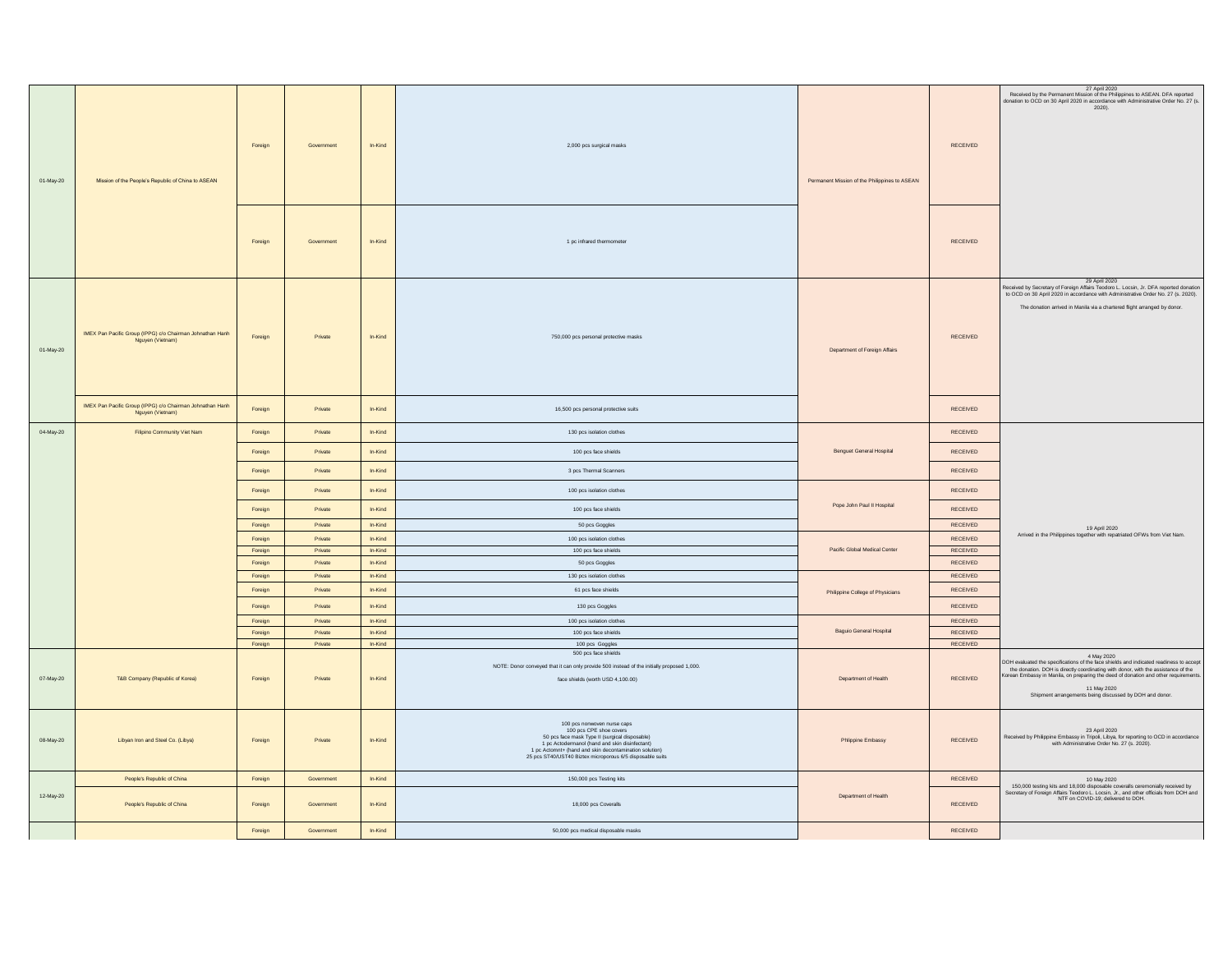| 01-May-20 | Mission of the People's Republic of China to ASEAN                            | Foreign            | Government         | In-Kind            | 2,000 pcs surgical masks                                                                                                                                                                                                                                                          | Permanent Mission of the Philippines to ASEAN | RECEIVED             | 27 April 2020<br>Received by the Permanent Mission of the Philippines to ASEAN. DFA reported<br>donation to OCD on 30 April 2020 in accordance with Administrative Order No. 27 (s.<br>$2020$ ).                                                                                                                                                           |
|-----------|-------------------------------------------------------------------------------|--------------------|--------------------|--------------------|-----------------------------------------------------------------------------------------------------------------------------------------------------------------------------------------------------------------------------------------------------------------------------------|-----------------------------------------------|----------------------|------------------------------------------------------------------------------------------------------------------------------------------------------------------------------------------------------------------------------------------------------------------------------------------------------------------------------------------------------------|
|           |                                                                               | Foreign            | Government         | In-Kind            | 1 pc infrared thermometer                                                                                                                                                                                                                                                         |                                               | RECEIVED             |                                                                                                                                                                                                                                                                                                                                                            |
| 01-May-20 | IMEX Pan Pacific Group (IPPG) c/o Chairman Johnathan Hanh<br>Nguyen (Vietnam) | Foreign            | Private            | In-Kind            | 750,000 pcs personal protective masks                                                                                                                                                                                                                                             | Department of Foreign Affairs                 | RECEIVED             | 29 April 2020<br>Received by Secretary of Foreign Affairs Teodoro L. Locsin, Jr. DFA reported donation<br>to OCD on 30 April 2020 in accordance with Administrative Order No. 27 (s. 2020).<br>The donation arrived in Manila via a chartered flight arranged by donor.                                                                                    |
|           | IMEX Pan Pacific Group (IPPG) c/o Chairman Johnathan Hanh<br>Nguyen (Vietnam) | Foreign            | Private            | In-Kind            | 16,500 pcs personal protective suits                                                                                                                                                                                                                                              |                                               | <b>RECEIVED</b>      |                                                                                                                                                                                                                                                                                                                                                            |
| 04-May-20 | Filipino Community Viet Nam                                                   | Foreign            | Private            | In-Kind            | 130 pcs isolation clothes                                                                                                                                                                                                                                                         |                                               | RECEIVED             |                                                                                                                                                                                                                                                                                                                                                            |
|           |                                                                               | Foreign            | Private            | In-Kind            | 100 pcs face shields                                                                                                                                                                                                                                                              | <b>Benguet General Hospital</b>               | RECEIVED             |                                                                                                                                                                                                                                                                                                                                                            |
|           |                                                                               | Foreign            | Private            | $In-Kind$          | 3 pcs Thermal Scanners                                                                                                                                                                                                                                                            |                                               | RECEIVED             |                                                                                                                                                                                                                                                                                                                                                            |
|           |                                                                               | Foreign            | Private            | In-Kind            | 100 pcs isolation clothes                                                                                                                                                                                                                                                         |                                               | <b>RECEIVED</b>      |                                                                                                                                                                                                                                                                                                                                                            |
|           |                                                                               | Foreign            | Private            | In-Kind            | 100 pcs face shields                                                                                                                                                                                                                                                              | Pope John Paul II Hospital                    | RECEIVED             |                                                                                                                                                                                                                                                                                                                                                            |
|           |                                                                               | Foreign            | Private            | In-Kind            | 50 pcs Goggles                                                                                                                                                                                                                                                                    |                                               | RECEIVED             | 19 April 2020                                                                                                                                                                                                                                                                                                                                              |
|           |                                                                               | Foreign            | Private            | In-Kind            | 100 pcs isolation clothes                                                                                                                                                                                                                                                         |                                               | RECEIVED             | Arrived in the Philippines together with repatriated OFWs from Viet Nam.                                                                                                                                                                                                                                                                                   |
|           |                                                                               | Foreign            | Private            | In-Kind            | 100 pcs face shields                                                                                                                                                                                                                                                              | Pacific Global Medical Center                 | RECEIVED             |                                                                                                                                                                                                                                                                                                                                                            |
|           |                                                                               | Foreign            | Private<br>Private | In-Kind<br>In-Kind | 50 pcs Goggles                                                                                                                                                                                                                                                                    |                                               | RECEIVED<br>RECEIVED |                                                                                                                                                                                                                                                                                                                                                            |
|           |                                                                               | Foreign<br>Foreign | Private            | In-Kind            | 130 pcs isolation clothes<br>61 pcs face shields                                                                                                                                                                                                                                  |                                               | RECEIVED             |                                                                                                                                                                                                                                                                                                                                                            |
|           |                                                                               | Foreign            | Private            | In-Kind            | 130 pcs Goggles                                                                                                                                                                                                                                                                   | Philippine College of Physicians              | RECEIVED             |                                                                                                                                                                                                                                                                                                                                                            |
|           |                                                                               | Foreign            | Private            | In-Kind            | 100 pcs isolation clothes                                                                                                                                                                                                                                                         |                                               | RECEIVED             |                                                                                                                                                                                                                                                                                                                                                            |
|           |                                                                               | Foreign            | Private            | In-Kind            | 100 pcs face shields                                                                                                                                                                                                                                                              | Baguio General Hospital                       | RECEIVED             |                                                                                                                                                                                                                                                                                                                                                            |
|           |                                                                               | Foreign            | Private            | In-Kind            | 100 pcs Goggles                                                                                                                                                                                                                                                                   |                                               | RECEIVED             |                                                                                                                                                                                                                                                                                                                                                            |
| 07-May-20 | T&B Company (Republic of Korea)                                               | Foreign            | Private            | In-Kind            | 500 pcs face shields<br>NOTE: Donor conveyed that it can only provide 500 instead of the initially proposed 1,000.<br>face shields (worth USD 4,100.00)                                                                                                                           | Department of Health                          | RECEIVED             | 4 May 2020<br>DOH evaluated the specifications of the face shields and indicated readiness to accept<br>the donation. DOH is directly coordinating with donor, with the assistance of the<br>Korean Embassy in Manila, on preparing the deed of donation and other requirements.<br>11 May 2020<br>Shipment arrangements being discussed by DOH and donor. |
| 08-May-20 | Libyan Iron and Steel Co. (Libya)                                             | Foreign            | Private            | In-Kind            | 100 pcs nonwoven nurse caps<br>100 pcs CPE shoe covers<br>50 pcs face mask Type II (surgical disposable)<br>1 pc Actodermanol (hand and skin disinfectant)<br>1 pc Actomnt+ (hand and skin decontamination solution)<br>25 pcs ST40/UST40 Biztex microporous 6/5 disposable suits | Phlippine Embassy                             | RECEIVED             | 23 April 2020<br>Received by Philippine Embassy in Tripoli, Libya, for reporting to OCD in accordance<br>with Administrative Order No. 27 (s. 2020).                                                                                                                                                                                                       |
|           | People's Republic of China                                                    | Foreign            | Government         | In-Kind            | 150,000 pcs Testing kits                                                                                                                                                                                                                                                          |                                               | <b>RECEIVED</b>      | 10 May 2020                                                                                                                                                                                                                                                                                                                                                |
| 12-May-20 | People's Republic of China                                                    | Foreign            | Government         | In-Kind            | 18,000 pcs Coveralls                                                                                                                                                                                                                                                              | Department of Health                          | <b>RECEIVED</b>      | 150,000 testing kits and 18,000 disposable coveralls ceremonially received by<br>Secretary of Foreign Affairs Teodoro L. Locsin, Jr., and other officials from DOH and<br>NTF on COVID-19; delivered to DOH.                                                                                                                                               |
|           |                                                                               | Foreign            | Government         | $In-Kind$          | 50,000 pcs medical disposable masks                                                                                                                                                                                                                                               |                                               | RECEIVED             |                                                                                                                                                                                                                                                                                                                                                            |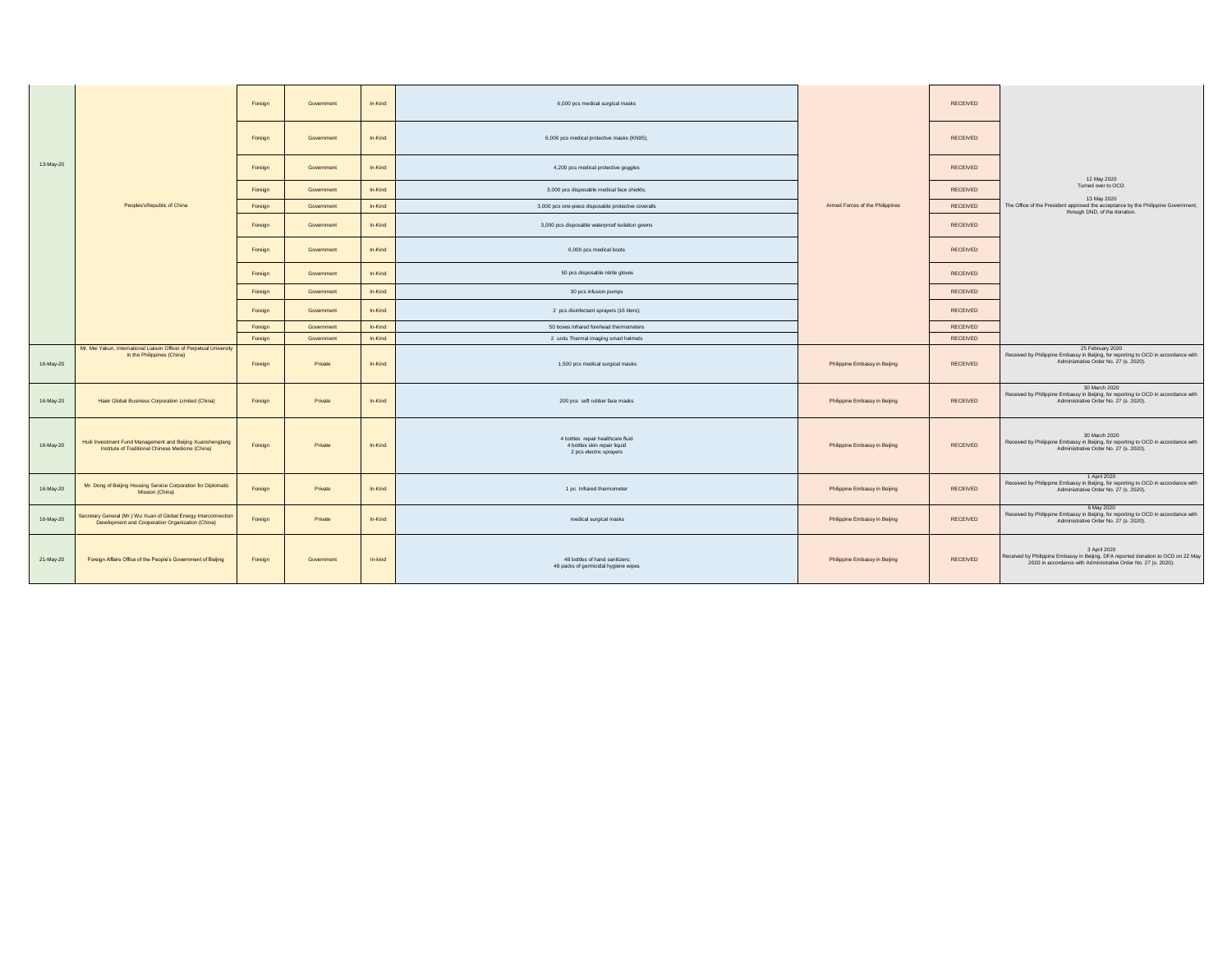|           |                                                                                                                      | Foreign | Government | In-Kind | 6,000 pcs medical surgical masks                                                             |                                 | <b>RECEIVED</b> |                                                                                                                                                                     |
|-----------|----------------------------------------------------------------------------------------------------------------------|---------|------------|---------|----------------------------------------------------------------------------------------------|---------------------------------|-----------------|---------------------------------------------------------------------------------------------------------------------------------------------------------------------|
|           |                                                                                                                      | Foreign | Government | In-Kind | 6,000 pcs medical protective masks (KN95);                                                   |                                 | RECEIVED        |                                                                                                                                                                     |
| 13-May-20 |                                                                                                                      | Foreign | Government | In-Kind | 4,200 pcs medical protective goggles                                                         |                                 | RECEIVED        | 12 May 2020                                                                                                                                                         |
|           |                                                                                                                      | Foreign | Government | In-Kind | 3,000 pcs disposable medical face shields;                                                   |                                 | RECEIVED        | Turned over to OCD.                                                                                                                                                 |
|           | Peoples'sRepublic of China                                                                                           | Foreign | Government | In-Kind | 3,000 pcs one-piece disposable protective coveralls                                          | Armed Forces of the Philippines | RECEIVED        | 13 May 2020<br>The Office of the President approved the acceptance by the Philippine Government,<br>through DND, of the donation.                                   |
|           |                                                                                                                      | Foreign | Government | In-Kind | 3,000 pcs disposable waterproof isolation gowns                                              |                                 | RECEIVED        |                                                                                                                                                                     |
|           |                                                                                                                      | Foreign | Government | In-Kind | 6,000 pcs medical boots                                                                      |                                 | RECEIVED        |                                                                                                                                                                     |
|           |                                                                                                                      | Foreign | Government | In-Kind | 50 pcs disposable nitrile gloves                                                             |                                 | RECEIVED        |                                                                                                                                                                     |
|           |                                                                                                                      | Foreign | Government | In-Kind | 30 pcs infusion pumps                                                                        |                                 | RECEIVED        |                                                                                                                                                                     |
|           |                                                                                                                      | Foreign | Government | In-Kind | 2 pcs disinfectant sprayers (16 liters);                                                     |                                 | RECEIVED        |                                                                                                                                                                     |
|           |                                                                                                                      | Foreign | Government | In-Kind | 50 boxes infrared forehead thermometers                                                      |                                 | RECEIVED        |                                                                                                                                                                     |
|           | Mr. Mei Yakun, International Liaison Officer of Perpetual University                                                 | Foreign | Government | In-Kind | 2 units Thermal imaging smart helmets                                                        |                                 | RECEIVED        | 25 February 2020                                                                                                                                                    |
| 16-May-20 | in the Philippines (China)                                                                                           | Foreign | Private    | In-Kind | 1,500 pcs medical surgical masks                                                             | Philippine Embassy in Beijing   | RECEIVED        | Received by Philippine Embassy in Beijing, for reporting to OCD in accordance with<br>Administrative Order No. 27 (s. 2020).                                        |
| 16-May-20 | Haier Global Business Corporation Limited (China)                                                                    | Foreign | Private    | In-Kind | 200 pcs soft rubber face masks                                                               | Philippine Embassy in Beijing   | RECEIVED        | 30 March 2020<br>Received by Philippine Embassy in Beijing, for reporting to OCD in accordance with<br>Administrative Order No. 27 (s. 2020).                       |
| 16-May-20 | Huili Investment Fund Management and Beijing Xuanshengtang<br>Institute of Traditional Chinese Medicine (China)      | Foreign | Private    | In-Kind | 4 bottles repair healthcare fluid<br>4 bottles skin repair liquid<br>2 pcs electric sprayers | Philippine Embassy in Beijing   | RECEIVED        | 30 March 2020<br>Received by Philippine Embassy in Beijing, for reporting to OCD in accordance with<br>Administrative Order No. 27 (s. 2020).                       |
| 16-May-20 | Mr. Dong of Beijing Housing Service Corporation for Diplomatic<br>Mission (China)                                    | Foreign | Private    | In-Kind | 1 pc Infrared thermometer                                                                    | Philippine Embassy in Beijing   | RECEIVED        | 1 April 2020<br>Received by Philippine Embassy in Beijing, for reporting to OCD in accordance with<br>Administrative Order No. 27 (s. 2020).                        |
| 16-May-20 | Secretary General (Mr.) Wu Xuan of Global Energy Interconnection<br>Development and Cooperation Organization (China) | Foreign | Private    | In-Kind | medical surgical masks                                                                       | Philippine Embassy in Beijing   | RECEIVED        | 6 May 2020<br>Received by Philippine Embassy in Beijing, for reporting to OCD in accordance with<br>Administrative Order No. 27 (s. 2020).                          |
| 21-May-20 | Foreign Affairs Office of the People's Government of Beijing                                                         | Foreign | Government | In-kind | 48 bottles of hand sanitizers;<br>48 packs of germicidal hygiene wipes                       | Philippine Embassy in Beijing   | RECEIVED        | 3 April 2020<br>Received by Philippine Embassy in Beijing. DFA reported donation to OCD on 22 May<br>2020 in accordance with Administrative Order No. 27 (s. 2020). |